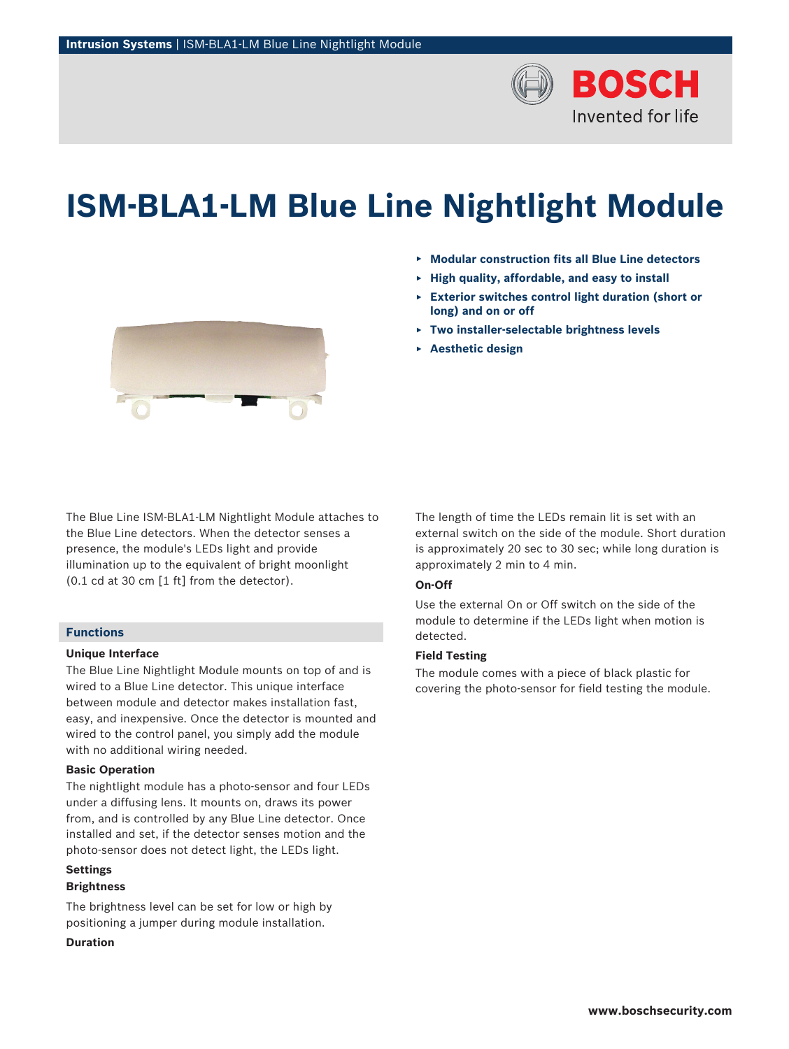

# **ISM‑BLA1‑LM Blue Line Nightlight Module**

- ▶ **Modular construction fits all Blue Line detectors**
- ▶ **High quality, affordable, and easy to install**
- ▶ **Exterior switches control light duration (short or long) and on or off**
- ▶ **Two installer-selectable brightness levels**
- ▶ **Aesthetic design**



The Blue Line ISM-BLA1-LM Nightlight Module attaches to the Blue Line detectors. When the detector senses a presence, the module's LEDs light and provide illumination up to the equivalent of bright moonlight (0.1 cd at 30 cm [1 ft] from the detector).

#### **Functions**

#### **Unique Interface**

The Blue Line Nightlight Module mounts on top of and is wired to a Blue Line detector. This unique interface between module and detector makes installation fast, easy, and inexpensive. Once the detector is mounted and wired to the control panel, you simply add the module with no additional wiring needed.

## **Basic Operation**

The nightlight module has a photo-sensor and four LEDs under a diffusing lens. It mounts on, draws its power from, and is controlled by any Blue Line detector. Once installed and set, if the detector senses motion and the photo-sensor does not detect light, the LEDs light.

## **Settings**

## **Brightness**

The brightness level can be set for low or high by positioning a jumper during module installation.

## **Duration**

The length of time the LEDs remain lit is set with an external switch on the side of the module. Short duration is approximately 20 sec to 30 sec; while long duration is approximately 2 min to 4 min.

## **On-Off**

Use the external On or Off switch on the side of the module to determine if the LEDs light when motion is detected.

## **Field Testing**

The module comes with a piece of black plastic for covering the photo-sensor for field testing the module.